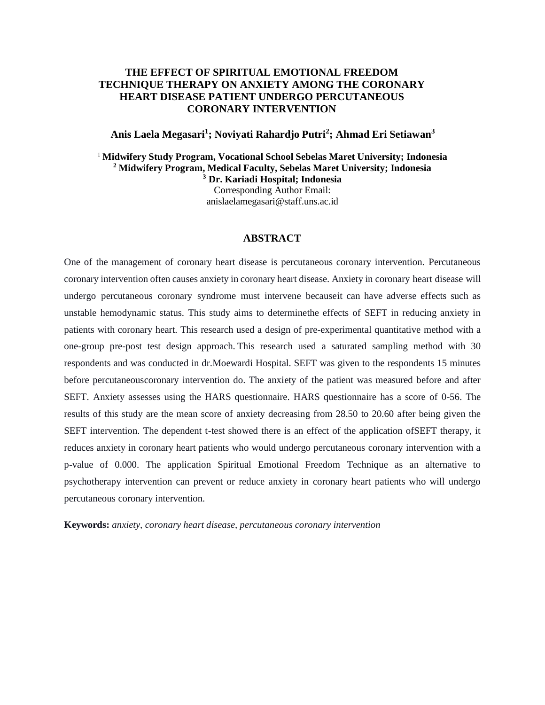# **THE EFFECT OF SPIRITUAL EMOTIONAL FREEDOM TECHNIQUE THERAPY ON ANXIETY AMONG THE CORONARY HEART DISEASE PATIENT UNDERGO PERCUTANEOUS CORONARY INTERVENTION**

**Anis Laela Megasari<sup>1</sup> ; Noviyati Rahardjo Putri<sup>2</sup> ; Ahmad Eri Setiawan<sup>3</sup>**

<sup>1</sup> **Midwifery Study Program, Vocational School Sebelas Maret University; Indonesia <sup>2</sup> Midwifery Program, Medical Faculty, Sebelas Maret University; Indonesia <sup>3</sup> Dr. Kariadi Hospital; Indonesia**

Corresponding Author Email: [anislaelamegasari@staff.uns.ac.id](mailto:anislaelamegasari@staff.uns.ac.id)

### **ABSTRACT**

One of the management of coronary heart disease is percutaneous coronary intervention. Percutaneous coronary intervention often causes anxiety in coronary heart disease. Anxiety in coronary heart disease will undergo percutaneous coronary syndrome must intervene becauseit can have adverse effects such as unstable hemodynamic status. This study aims to determinethe effects of SEFT in reducing anxiety in patients with coronary heart. This research used a design of pre-experimental quantitative method with a one-group pre-post test design approach. This research used a saturated sampling method with 30 respondents and was conducted in dr.Moewardi Hospital. SEFT was given to the respondents 15 minutes before percutaneouscoronary intervention do. The anxiety of the patient was measured before and after SEFT. Anxiety assesses using the HARS questionnaire. HARS questionnaire has a score of 0-56. The results of this study are the mean score of anxiety decreasing from 28.50 to 20.60 after being given the SEFT intervention. The dependent t-test showed there is an effect of the application ofSEFT therapy, it reduces anxiety in coronary heart patients who would undergo percutaneous coronary intervention with a p-value of 0.000. The application Spiritual Emotional Freedom Technique as an alternative to psychotherapy intervention can prevent or reduce anxiety in coronary heart patients who will undergo percutaneous coronary intervention.

**Keywords:** *anxiety, coronary heart disease, percutaneous coronary intervention*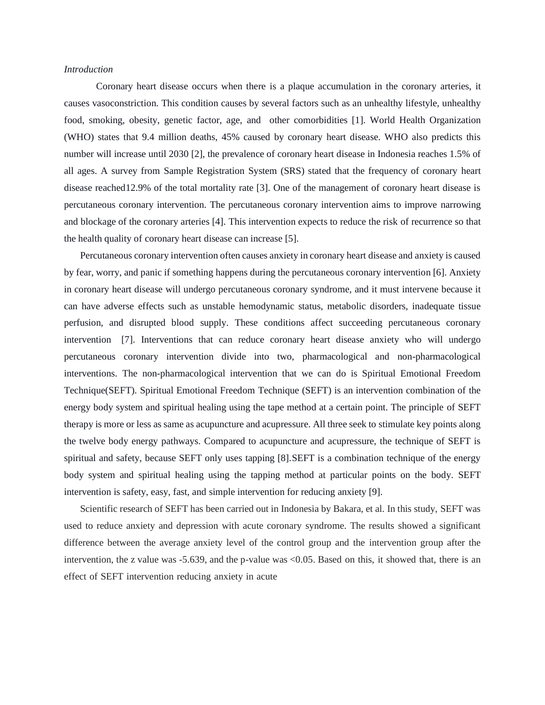#### *Introduction*

Coronary heart disease occurs when there is a plaque accumulation in the coronary arteries, it causes vasoconstriction. This condition causes by several factors such as an unhealthy lifestyle, unhealthy food, smoking, obesity, genetic factor, age, and other comorbidities [1]. World Health Organization (WHO) states that 9.4 million deaths, 45% caused by coronary heart disease. WHO also predicts this number will increase until 2030 [2], the prevalence of coronary heart disease in Indonesia reaches 1.5% of all ages. A survey from Sample Registration System (SRS) stated that the frequency of coronary heart disease reached12.9% of the total mortality rate [3]. One of the management of coronary heart disease is percutaneous coronary intervention. The percutaneous coronary intervention aims to improve narrowing and blockage of the coronary arteries [4]. This intervention expects to reduce the risk of recurrence so that the health quality of coronary heart disease can increase [5].

Percutaneous coronary intervention often causes anxiety in coronary heart disease and anxiety is caused by fear, worry, and panic if something happens during the percutaneous coronary intervention [6]. Anxiety in coronary heart disease will undergo percutaneous coronary syndrome, and it must intervene because it can have adverse effects such as unstable hemodynamic status, metabolic disorders, inadequate tissue perfusion, and disrupted blood supply. These conditions affect succeeding percutaneous coronary intervention [7]. Interventions that can reduce coronary heart disease anxiety who will undergo percutaneous coronary intervention divide into two, pharmacological and non-pharmacological interventions. The non-pharmacological intervention that we can do is Spiritual Emotional Freedom Technique(SEFT). Spiritual Emotional Freedom Technique (SEFT) is an intervention combination of the energy body system and spiritual healing using the tape method at a certain point. The principle of SEFT therapy is more or less as same as acupuncture and acupressure. All three seek to stimulate key points along the twelve body energy pathways. Compared to acupuncture and acupressure, the technique of SEFT is spiritual and safety, because SEFT only uses tapping [8].SEFT is a combination technique of the energy body system and spiritual healing using the tapping method at particular points on the body. SEFT intervention is safety, easy, fast, and simple intervention for reducing anxiety [9].

Scientific research of SEFT has been carried out in Indonesia by Bakara, et al. In this study, SEFT was used to reduce anxiety and depression with acute coronary syndrome. The results showed a significant difference between the average anxiety level of the control group and the intervention group after the intervention, the z value was -5.639, and the p-value was <0.05. Based on this, it showed that, there is an effect of SEFT intervention reducing anxiety in acute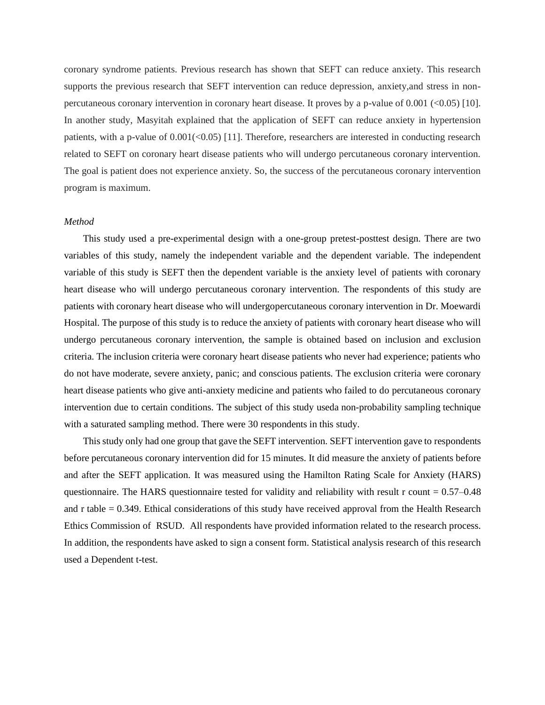coronary syndrome patients. Previous research has shown that SEFT can reduce anxiety. This research supports the previous research that SEFT intervention can reduce depression, anxiety, and stress in nonpercutaneous coronary intervention in coronary heart disease. It proves by a p-value of 0.001 (<0.05) [10]. In another study, Masyitah explained that the application of SEFT can reduce anxiety in hypertension patients, with a p-value of  $0.001 \times 0.05$  [11]. Therefore, researchers are interested in conducting research related to SEFT on coronary heart disease patients who will undergo percutaneous coronary intervention. The goal is patient does not experience anxiety. So, the success of the percutaneous coronary intervention program is maximum.

### *Method*

This study used a pre-experimental design with a one-group pretest-posttest design. There are two variables of this study, namely the independent variable and the dependent variable. The independent variable of this study is SEFT then the dependent variable is the anxiety level of patients with coronary heart disease who will undergo percutaneous coronary intervention. The respondents of this study are patients with coronary heart disease who will undergopercutaneous coronary intervention in Dr. Moewardi Hospital. The purpose of this study is to reduce the anxiety of patients with coronary heart disease who will undergo percutaneous coronary intervention, the sample is obtained based on inclusion and exclusion criteria. The inclusion criteria were coronary heart disease patients who never had experience; patients who do not have moderate, severe anxiety, panic; and conscious patients. The exclusion criteria were coronary heart disease patients who give anti-anxiety medicine and patients who failed to do percutaneous coronary intervention due to certain conditions. The subject of this study useda non-probability sampling technique with a saturated sampling method. There were 30 respondents in this study.

This study only had one group that gave the SEFT intervention. SEFT intervention gave to respondents before percutaneous coronary intervention did for 15 minutes. It did measure the anxiety of patients before and after the SEFT application. It was measured using the Hamilton Rating Scale for Anxiety (HARS) questionnaire. The HARS questionnaire tested for validity and reliability with result r count  $= 0.57-0.48$ and r table = 0.349. Ethical considerations of this study have received approval from the Health Research Ethics Commission of RSUD. All respondents have provided information related to the research process. In addition, the respondents have asked to sign a consent form. Statistical analysis research of this research used a Dependent t-test.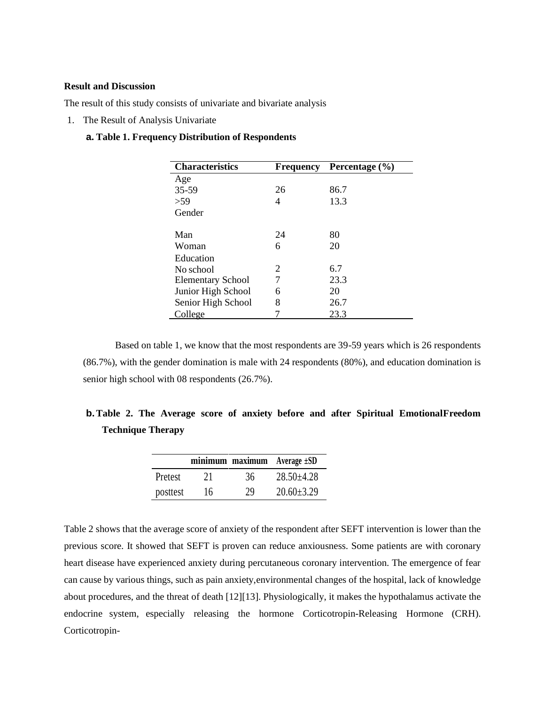# **Result and Discussion**

The result of this study consists of univariate and bivariate analysis

1. The Result of Analysis Univariate

## **a. Table 1. Frequency Distribution of Respondents**

| <b>Characteristics</b>   | <b>Frequency</b> | Percentage $(\% )$ |
|--------------------------|------------------|--------------------|
| Age                      |                  |                    |
| 35-59                    | 26               | 86.7               |
| > 59                     | 4                | 13.3               |
| Gender                   |                  |                    |
| Man                      | 24               | 80                 |
| Woman                    | 6                | 20                 |
| Education                |                  |                    |
| No school                | 2                | 6.7                |
| <b>Elementary School</b> | 7                | 23.3               |
| Junior High School       | 6                | 20                 |
| Senior High School       | 8                | 26.7               |
| College                  |                  | 23.3               |

Based on table 1, we know that the most respondents are 39-59 years which is 26 respondents (86.7%), with the gender domination is male with 24 respondents (80%), and education domination is senior high school with 08 respondents (26.7%).

|  |                          |  |  |  | <b>b.</b> Table 2. The Average score of anxiety before and after Spiritual Emotional Freedom |
|--|--------------------------|--|--|--|----------------------------------------------------------------------------------------------|
|  | <b>Technique Therapy</b> |  |  |  |                                                                                              |

|          |    |    | minimum maximum Average ±SD |
|----------|----|----|-----------------------------|
| Pretest  | 21 | 36 | $28.50 \pm 4.28$            |
| posttest | 16 | 29 | $20.60 \pm 3.29$            |

Table 2 shows that the average score of anxiety of the respondent after SEFT intervention is lower than the previous score. It showed that SEFT is proven can reduce anxiousness. Some patients are with coronary heart disease have experienced anxiety during percutaneous coronary intervention. The emergence of fear can cause by various things, such as pain anxiety,environmental changes of the hospital, lack of knowledge about procedures, and the threat of death [12][13]. Physiologically, it makes the hypothalamus activate the endocrine system, especially releasing the hormone Corticotropin-Releasing Hormone (CRH). Corticotropin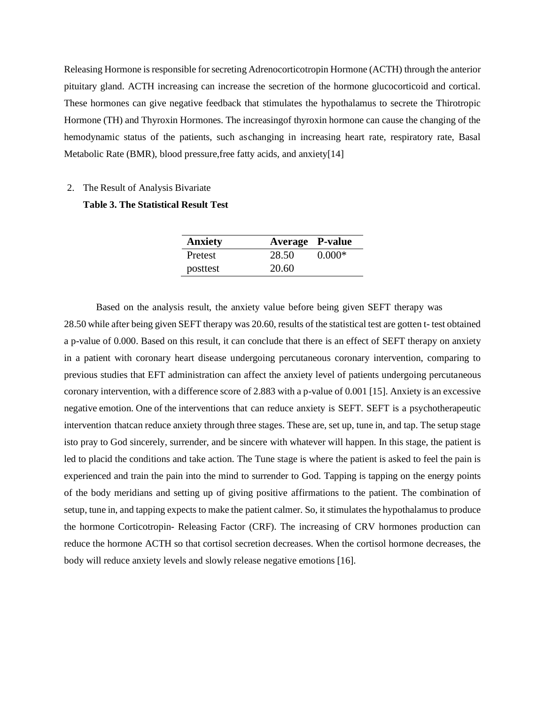Releasing Hormone is responsible for secreting Adrenocorticotropin Hormone (ACTH) through the anterior pituitary gland. ACTH increasing can increase the secretion of the hormone glucocorticoid and cortical. These hormones can give negative feedback that stimulates the hypothalamus to secrete the Thirotropic Hormone (TH) and Thyroxin Hormones. The increasingof thyroxin hormone can cause the changing of the hemodynamic status of the patients, such aschanging in increasing heart rate, respiratory rate, Basal Metabolic Rate (BMR), blood pressure, free fatty acids, and anxiety[14]

#### 2. The Result of Analysis Bivariate

# **Table 3. The Statistical Result Test**

| <b>Anxiety</b> | <b>Average P-value</b> |          |
|----------------|------------------------|----------|
| Pretest        | 28.50                  | $0.000*$ |
| posttest       | 20.60                  |          |

Based on the analysis result, the anxiety value before being given SEFT therapy was 28.50 while after being given SEFT therapy was 20.60, results of the statistical test are gotten t- test obtained a p-value of 0.000. Based on this result, it can conclude that there is an effect of SEFT therapy on anxiety in a patient with coronary heart disease undergoing percutaneous coronary intervention, comparing to previous studies that EFT administration can affect the anxiety level of patients undergoing percutaneous coronary intervention, with a difference score of 2.883 with a p-value of 0.001 [15]. Anxiety is an excessive negative emotion. One of the interventions that can reduce anxiety is SEFT. SEFT is a psychotherapeutic intervention thatcan reduce anxiety through three stages. These are, set up, tune in, and tap. The setup stage isto pray to God sincerely, surrender, and be sincere with whatever will happen. In this stage, the patient is led to placid the conditions and take action. The Tune stage is where the patient is asked to feel the pain is experienced and train the pain into the mind to surrender to God. Tapping is tapping on the energy points of the body meridians and setting up of giving positive affirmations to the patient. The combination of setup, tune in, and tapping expects to make the patient calmer. So, it stimulates the hypothalamus to produce the hormone Corticotropin- Releasing Factor (CRF). The increasing of CRV hormones production can reduce the hormone ACTH so that cortisol secretion decreases. When the cortisol hormone decreases, the body will reduce anxiety levels and slowly release negative emotions [16].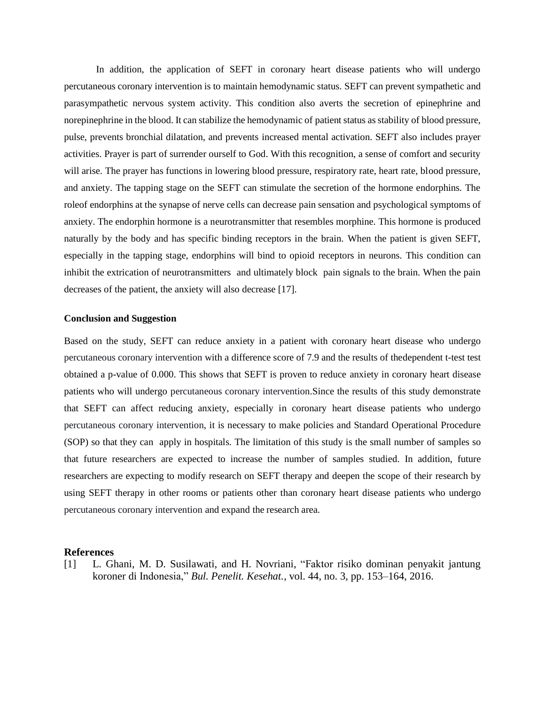In addition, the application of SEFT in coronary heart disease patients who will undergo percutaneous coronary intervention is to maintain hemodynamic status. SEFT can prevent sympathetic and parasympathetic nervous system activity. This condition also averts the secretion of epinephrine and norepinephrine in the blood. It can stabilize the hemodynamic of patient status as stability of blood pressure, pulse, prevents bronchial dilatation, and prevents increased mental activation. SEFT also includes prayer activities. Prayer is part of surrender ourself to God. With this recognition, a sense of comfort and security will arise. The prayer has functions in lowering blood pressure, respiratory rate, heart rate, blood pressure, and anxiety. The tapping stage on the SEFT can stimulate the secretion of the hormone endorphins. The roleof endorphins at the synapse of nerve cells can decrease pain sensation and psychological symptoms of anxiety. The endorphin hormone is a neurotransmitter that resembles morphine. This hormone is produced naturally by the body and has specific binding receptors in the brain. When the patient is given SEFT, especially in the tapping stage, endorphins will bind to opioid receptors in neurons. This condition can inhibit the extrication of neurotransmitters and ultimately block pain signals to the brain. When the pain decreases of the patient, the anxiety will also decrease [17].

#### **Conclusion and Suggestion**

Based on the study, SEFT can reduce anxiety in a patient with coronary heart disease who undergo percutaneous coronary intervention with a difference score of 7.9 and the results of thedependent t-test test obtained a p-value of 0.000. This shows that SEFT is proven to reduce anxiety in coronary heart disease patients who will undergo percutaneous coronary intervention.Since the results of this study demonstrate that SEFT can affect reducing anxiety, especially in coronary heart disease patients who undergo percutaneous coronary intervention, it is necessary to make policies and Standard Operational Procedure (SOP) so that they can apply in hospitals. The limitation of this study is the small number of samples so that future researchers are expected to increase the number of samples studied. In addition, future researchers are expecting to modify research on SEFT therapy and deepen the scope of their research by using SEFT therapy in other rooms or patients other than coronary heart disease patients who undergo percutaneous coronary intervention and expand the research area.

#### **References**

[1] L. Ghani, M. D. Susilawati, and H. Novriani, "Faktor risiko dominan penyakit jantung koroner di Indonesia," *Bul. Penelit. Kesehat.*, vol. 44, no. 3, pp. 153–164, 2016.